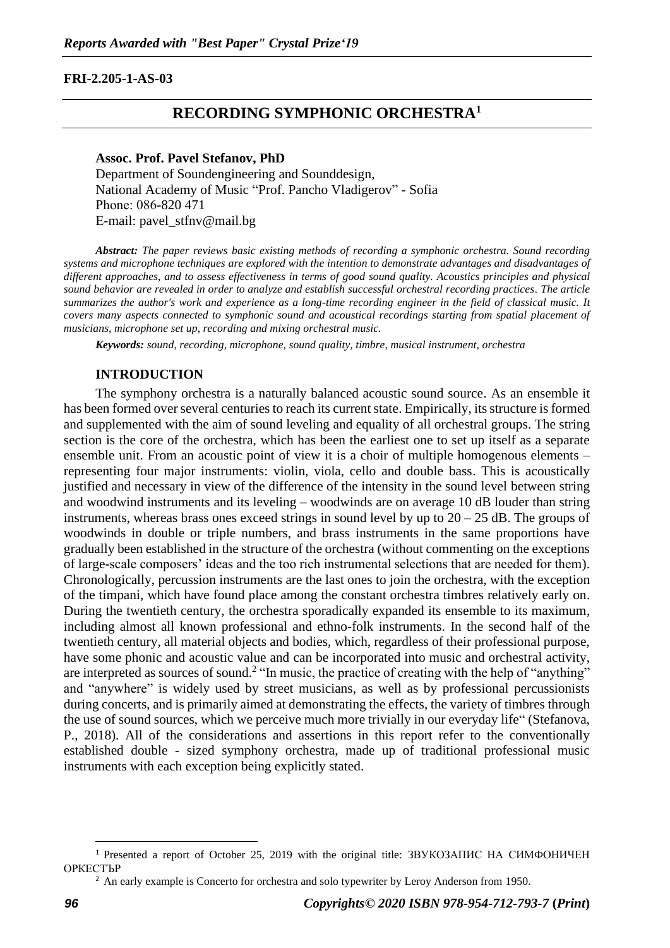### **FRI-2.205-1-AS-03**

# **RECORDING SYMPHONIC ORCHESTRA<sup>1</sup>**

#### **Assoc. Prof. Pavel Stefanov, PhD**

Department of Soundengineering and Sounddesign, National Academy of Music "Prof. Pancho Vladigerov" - Sofia Phone: 086-820 471 Е-mail: pavel\_stfnv@mail.bg

*Abstract: The paper reviews basic existing methods of recording a symphonic orchestra. Sound recording systems and microphone techniques are explored with the intention to demonstrate advantages and disadvantages of different approaches, and to assess effectiveness in terms of good sound quality. Acoustics principles and physical sound behavior are revealed in order to analyze and establish successful orchestral recording practices. The article summarizes the author's work and experience as a long-time recording engineer in the field of classical music. It covers many aspects connected to symphonic sound and acoustical recordings starting from spatial placement of musicians, microphone set up, recording and mixing orchestral music.* 

*Keywords: sound, recording, microphone, sound quality, timbre, musical instrument, orchestra* 

### **INTRODUCTION**

The symphony orchestra is a naturally balanced acoustic sound source. As an ensemble it has been formed over several centuries to reach its current state. Empirically, its structure is formed and supplemented with the aim of sound leveling and equality of all orchestral groups. The string section is the core of the orchestra, which has been the earliest one to set up itself as a separate ensemble unit. From an acoustic point of view it is a choir of multiple homogenous elements – representing four major instruments: violin, viola, cello and double bass. This is acoustically justified and necessary in view of the difference of the intensity in the sound level between string and woodwind instruments and its leveling – woodwinds are on average 10 dB louder than string instruments, whereas brass ones exceed strings in sound level by up to  $20 - 25$  dB. The groups of woodwinds in double or triple numbers, and brass instruments in the same proportions have gradually been established in the structure of the orchestra (without commenting on the exceptions of large-scale composers' ideas and the too rich instrumental selections that are needed for them). Chronologically, percussion instruments are the last ones to join the orchestra, with the exception of the timpani, which have found place among the constant orchestra timbres relatively early on. During the twentieth century, the orchestra sporadically expanded its ensemble to its maximum, including almost all known professional and ethno-folk instruments. In the second half of the twentieth century, all material objects and bodies, which, regardless of their professional purpose, have some phonic and acoustic value and can be incorporated into music and orchestral activity, are interpreted as sources of sound.<sup>2</sup> "In music, the practice of creating with the help of "anything" and "anywhere" is widely used by street musicians, as well as by professional percussionists during concerts, and is primarily aimed at demonstrating the effects, the variety of timbres through the use of sound sources, which we perceive much more trivially in our everyday life" (Stefanova, P., 2018). All of the considerations and assertions in this report refer to the conventionally established double - sized symphony orchestra, made up of traditional professional music instruments with each exception being explicitly stated.

<sup>1</sup> Presented a report of October 25, 2019 with the original title: ЗВУКОЗАПИС НА СИМФОНИЧЕН ОРКЕСТЪР

 $<sup>2</sup>$  An early example is Concerto for orchestra and solo typewriter by Leroy Anderson from 1950.</sup>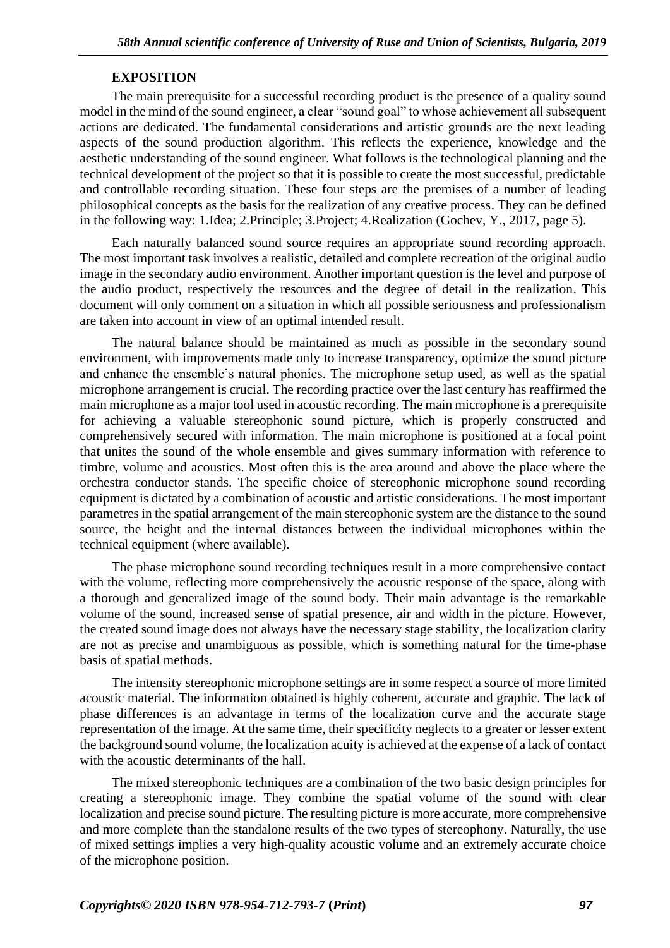### **EXPOSITION**

The main prerequisite for a successful recording product is the presence of a quality sound model in the mind of the sound engineer, a clear "sound goal" to whose achievement all subsequent actions are dedicated. The fundamental considerations and artistic grounds are the next leading aspects of the sound production algorithm. This reflects the experience, knowledge and the aesthetic understanding of the sound engineer. What follows is the technological planning and the technical development of the project so that it is possible to create the most successful, predictable and controllable recording situation. These four steps are the premises of a number of leading philosophical concepts as the basis for the realization of any creative process. They can be defined in the following way: 1.Idea; 2.Principle; 3.Project; 4.Realization (Gochev, Y., 2017, page 5).

Each naturally balanced sound source requires an appropriate sound recording approach. The most important task involves a realistic, detailed and complete recreation of the original audio image in the secondary audio environment. Another important question is the level and purpose of the audio product, respectively the resources and the degree of detail in the realization. This document will only comment on a situation in which all possible seriousness and professionalism are taken into account in view of an optimal intended result.

The natural balance should be maintained as much as possible in the secondary sound environment, with improvements made only to increase transparency, optimize the sound picture and enhance the ensemble's natural phonics. The microphone setup used, as well as the spatial microphone arrangement is crucial. The recording practice over the last century has reaffirmed the main microphone as a major tool used in acoustic recording. The main microphone is a prerequisite for achieving a valuable stereophonic sound picture, which is properly constructed and comprehensively secured with information. The main microphone is positioned at a focal point that unites the sound of the whole ensemble and gives summary information with reference to timbre, volume and acoustics. Most often this is the area around and above the place where the orchestra conductor stands. The specific choice of stereophonic microphone sound recording equipment is dictated by a combination of acoustic and artistic considerations. The most important parametres in the spatial arrangement of the main stereophonic system are the distance to the sound source, the height and the internal distances between the individual microphones within the technical equipment (where available).

The phase microphone sound recording techniques result in a more comprehensive contact with the volume, reflecting more comprehensively the acoustic response of the space, along with a thorough and generalized image of the sound body. Their main advantage is the remarkable volume of the sound, increased sense of spatial presence, air and width in the picture. However, the created sound image does not always have the necessary stage stability, the localization clarity are not as precise and unambiguous as possible, which is something natural for the time-phase basis of spatial methods.

The intensity stereophonic microphone settings are in some respect a source of more limited acoustic material. The information obtained is highly coherent, accurate and graphic. The lack of phase differences is an advantage in terms of the localization curve and the accurate stage representation of the image. At the same time, their specificity neglects to a greater or lesser extent the background sound volume, the localization acuity is achieved at the expense of a lack of contact with the acoustic determinants of the hall.

The mixed stereophonic techniques are a combination of the two basic design principles for creating a stereophonic image. They combine the spatial volume of the sound with clear localization and precise sound picture. The resulting picture is more accurate, more comprehensive and more complete than the standalone results of the two types of stereophony. Naturally, the use of mixed settings implies a very high-quality acoustic volume and an extremely accurate choice of the microphone position.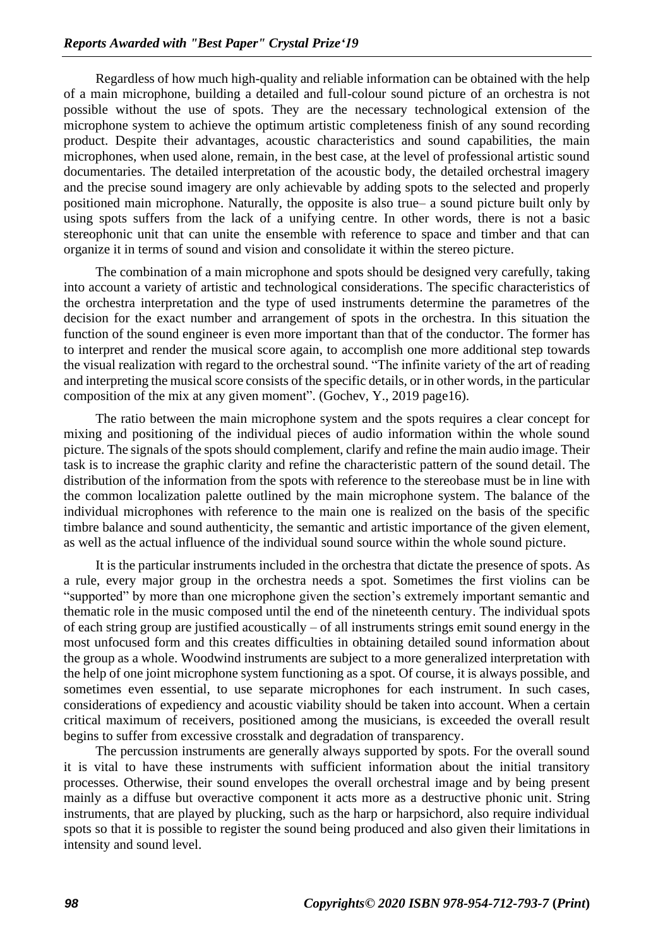Regardless of how much high-quality and reliable information can be obtained with the help of a main microphone, building a detailed and full-colour sound picture of an orchestra is not possible without the use of spots. They are the necessary technological extension of the microphone system to achieve the optimum artistic completeness finish of any sound recording product. Despite their advantages, acoustic characteristics and sound capabilities, the main microphones, when used alone, remain, in the best case, at the level of professional artistic sound documentaries. The detailed interpretation of the acoustic body, the detailed orchestral imagery and the precise sound imagery are only achievable by adding spots to the selected and properly positioned main microphone. Naturally, the opposite is also true– a sound picture built only by using spots suffers from the lack of a unifying centre. In other words, there is not a basic stereophonic unit that can unite the ensemble with reference to space and timber and that can organize it in terms of sound and vision and consolidate it within the stereo picture.

The combination of a main microphone and spots should be designed very carefully, taking into account a variety of artistic and technological considerations. The specific characteristics of the orchestra interpretation and the type of used instruments determine the parametres of the decision for the exact number and arrangement of spots in the orchestra. In this situation the function of the sound engineer is even more important than that of the conductor. The former has to interpret and render the musical score again, to accomplish one more additional step towards the visual realization with regard to the orchestral sound. "The infinite variety of the art of reading and interpreting the musical score consists of the specific details, or in other words, in the particular composition of the mix at any given moment". (Gochev, Y., 2019 page16).

The ratio between the main microphone system and the spots requires a clear concept for mixing and positioning of the individual pieces of audio information within the whole sound picture. The signals of the spots should complement, clarify and refine the main audio image. Their task is to increase the graphic clarity and refine the characteristic pattern of the sound detail. The distribution of the information from the spots with reference to the stereobase must be in line with the common localization palette outlined by the main microphone system. The balance of the individual microphones with reference to the main one is realized on the basis of the specific timbre balance and sound authenticity, the semantic and artistic importance of the given element, as well as the actual influence of the individual sound source within the whole sound picture.

It is the particular instruments included in the orchestra that dictate the presence of spots. As a rule, every major group in the orchestra needs a spot. Sometimes the first violins can be "supported" by more than one microphone given the section's extremely important semantic and thematic role in the music composed until the end of the nineteenth century. The individual spots of each string group are justified acoustically – of all instruments strings emit sound energy in the most unfocused form and this creates difficulties in obtaining detailed sound information about the group as a whole. Woodwind instruments are subject to a more generalized interpretation with the help of one joint microphone system functioning as a spot. Of course, it is always possible, and sometimes even essential, to use separate microphones for each instrument. In such cases, considerations of expediency and acoustic viability should be taken into account. When a certain critical maximum of receivers, positioned among the musicians, is exceeded the overall result begins to suffer from excessive crosstalk and degradation of transparency.

The percussion instruments are generally always supported by spots. For the overall sound it is vital to have these instruments with sufficient information about the initial transitory processes. Otherwise, their sound envelopes the overall orchestral image and by being present mainly as a diffuse but overactive component it acts more as a destructive phonic unit. String instruments, that are played by plucking, such as the harp or harpsichord, also require individual spots so that it is possible to register the sound being produced and also given their limitations in intensity and sound level.